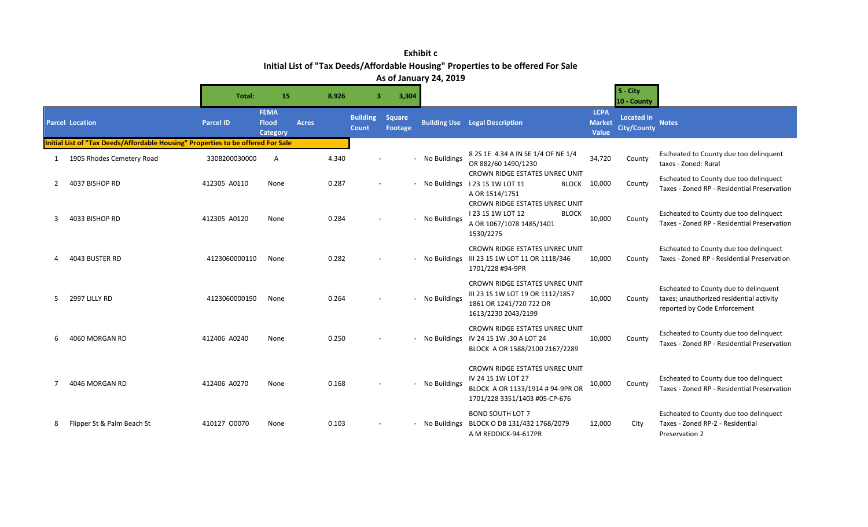**Exhibit c Initial List of "Tax Deeds/Affordable Housing" Properties to be offered For Sale As of January 24, 2019**

|   |                                                                                 | Total:           | 15                                             | 8.926        | $\overline{\mathbf{3}}$         | 3,304                    |                |                                                                                                                           |                                       | $5 - City$<br>10 - County               |                                                                                                                   |
|---|---------------------------------------------------------------------------------|------------------|------------------------------------------------|--------------|---------------------------------|--------------------------|----------------|---------------------------------------------------------------------------------------------------------------------------|---------------------------------------|-----------------------------------------|-------------------------------------------------------------------------------------------------------------------|
|   | <b>Parcel Location</b>                                                          | <b>Parcel ID</b> | <b>FEMA</b><br><b>Flood</b><br><b>Category</b> | <b>Acres</b> | <b>Building</b><br><b>Count</b> | <b>Square</b><br>Footage |                | <b>Building Use Legal Description</b>                                                                                     | <b>LCPA</b><br><b>Market</b><br>Value | <b>Located in</b><br><b>City/County</b> | <b>Notes</b>                                                                                                      |
|   | nitial List of "Tax Deeds/Affordable Housing" Properties to be offered For Sale |                  |                                                |              |                                 |                          |                |                                                                                                                           |                                       |                                         |                                                                                                                   |
| 1 | 1905 Rhodes Cemetery Road                                                       | 3308200030000    | A                                              | 4.340        |                                 |                          | - No Buildings | 8 2S 1E 4.34 A IN SE 1/4 OF NE 1/4<br>OR 882/60 1490/1230                                                                 | 34,720                                | County                                  | Escheated to County due too delinquent<br>taxes - Zoned: Rural                                                    |
|   | 4037 BISHOP RD                                                                  | 412305 A0110     | None                                           | 0.287        |                                 |                          |                | CROWN RIDGE ESTATES UNREC UNIT<br>- No Buildings 123 15 1W LOT 11<br><b>BLOCK</b><br>A OR 1514/1751                       | 10,000                                | County                                  | Escheated to County due too delinquect<br>Taxes - Zoned RP - Residential Preservation                             |
| 3 | 4033 BISHOP RD                                                                  | 412305 A0120     | None                                           | 0.284        |                                 |                          | - No Buildings | <b>CROWN RIDGE ESTATES UNREC UNIT</b><br>123 1S 1W LOT 12<br><b>BLOCK</b><br>A OR 1067/1078 1485/1401<br>1530/2275        | 10,000                                | County                                  | Escheated to County due too delinquect<br>Taxes - Zoned RP - Residential Preservation                             |
|   | 4043 BUSTER RD                                                                  | 4123060000110    | None                                           | 0.282        |                                 |                          |                | CROWN RIDGE ESTATES UNREC UNIT<br>- No Buildings III 23 1S 1W LOT 11 OR 1118/346<br>1701/228 #94-9PR                      | 10,000                                | County                                  | Escheated to County due too delinquect<br>Taxes - Zoned RP - Residential Preservation                             |
| 5 | 2997 LILLY RD                                                                   | 4123060000190    | None                                           | 0.264        |                                 |                          | - No Buildings | CROWN RIDGE ESTATES UNREC UNIT<br>III 23 1S 1W LOT 19 OR 1112/1857<br>1861 OR 1241/720 722 OR<br>1613/2230 2043/2199      | 10,000                                | County                                  | Escheated to County due to delinguent<br>taxes; unauthorized residential activity<br>reported by Code Enforcement |
|   | 4060 MORGAN RD                                                                  | 412406 A0240     | None                                           | 0.250        |                                 |                          |                | CROWN RIDGE ESTATES UNREC UNIT<br>- No Buildings IV 24 15 1W .30 A LOT 24<br>BLOCK A OR 1588/2100 2167/2289               | 10,000                                | County                                  | Escheated to County due too delinquect<br>Taxes - Zoned RP - Residential Preservation                             |
|   | 4046 MORGAN RD                                                                  | 412406 A0270     | None                                           | 0.168        |                                 |                          | - No Buildings | CROWN RIDGE ESTATES UNREC UNIT<br>IV 24 1S 1W LOT 27<br>BLOCK A OR 1133/1914 # 94-9PR OR<br>1701/228 3351/1403 #05-CP-676 | 10,000                                | County                                  | Escheated to County due too delinquect<br>Taxes - Zoned RP - Residential Preservation                             |
| 8 | Flipper St & Palm Beach St                                                      | 410127 00070     | None                                           | 0.103        |                                 |                          | - No Buildings | <b>BOND SOUTH LOT 7</b><br>BLOCK O DB 131/432 1768/2079<br>A M REDDICK-94-617PR                                           | 12,000                                | City                                    | Escheated to County due too delinquect<br>Taxes - Zoned RP-2 - Residential<br>Preservation 2                      |